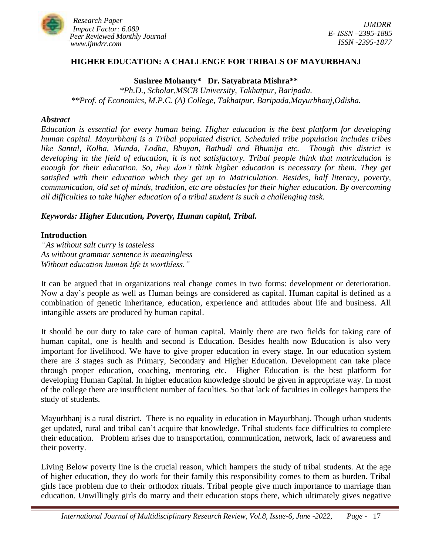

### **HIGHER EDUCATION: A CHALLENGE FOR TRIBALS OF MAYURBHANJ**

**Sushree Mohanty\* Dr. Satyabrata Mishra\*\***

*\*Ph.D., Scholar,MSCB University, Takhatpur, Baripada. \*\*Prof. of Economics, M.P.C. (A) College, Takhatpur, Baripada,Mayurbhanj,Odisha.*

#### *Abstract*

*Education is essential for every human being. Higher education is the best platform for developing human capital. Mayurbhanj is a Tribal populated district. Scheduled tribe population includes tribes like Santal, Kolha, Munda, Lodha, Bhuyan, Bathudi and Bhumija etc. Though this district is developing in the field of education, it is not satisfactory. Tribal people think that matriculation is enough for their education. So, they don't think higher education is necessary for them. They get satisfied with their education which they get up to Matriculation. Besides, half literacy, poverty, communication, old set of minds, tradition, etc are obstacles for their higher education. By overcoming all difficulties to take higher education of a tribal student is such a challenging task.*

#### *Keywords: Higher Education, Poverty, Human capital, Tribal.*

#### **Introduction**

*"As without salt curry is tasteless As without grammar sentence is meaningless Without education human life is worthless."*

It can be argued that in organizations real change comes in two forms: development or deterioration. Now a day's people as well as Human beings are considered as capital. Human capital is defined as a combination of genetic inheritance, education, experience and attitudes about life and business. All intangible assets are produced by human capital.

It should be our duty to take care of human capital. Mainly there are two fields for taking care of human capital, one is health and second is Education. Besides health now Education is also very important for livelihood. We have to give proper education in every stage. In our education system there are 3 stages such as Primary, Secondary and Higher Education. Development can take place through proper education, coaching, mentoring etc. Higher Education is the best platform for developing Human Capital. In higher education knowledge should be given in appropriate way. In most of the college there are insufficient number of faculties. So that lack of faculties in colleges hampers the study of students.

Mayurbhanj is a rural district. There is no equality in education in Mayurbhanj. Though urban students get updated, rural and tribal can't acquire that knowledge. Tribal students face difficulties to complete their education. Problem arises due to transportation, communication, network, lack of awareness and their poverty.

Living Below poverty line is the crucial reason, which hampers the study of tribal students. At the age of higher education, they do work for their family this responsibility comes to them as burden. Tribal girls face problem due to their orthodox rituals. Tribal people give much importance to marriage than education. Unwillingly girls do marry and their education stops there, which ultimately gives negative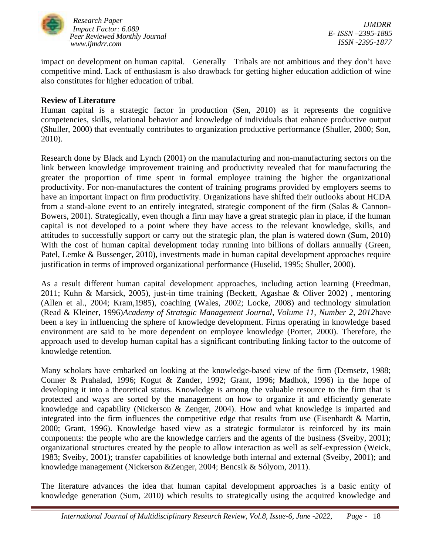

impact on development on human capital. Generally Tribals are not ambitious and they don't have competitive mind. Lack of enthusiasm is also drawback for getting higher education addiction of wine also constitutes for higher education of tribal.

### **Review of Literature**

Human capital is a strategic factor in production (Sen, 2010) as it represents the cognitive competencies, skills, relational behavior and knowledge of individuals that enhance productive output (Shuller, 2000) that eventually contributes to organization productive performance (Shuller, 2000; Son, 2010).

Research done by Black and Lynch (2001) on the manufacturing and non-manufacturing sectors on the link between knowledge improvement training and productivity revealed that for manufacturing the greater the proportion of time spent in formal employee training the higher the organizational productivity. For non-manufactures the content of training programs provided by employers seems to have an important impact on firm productivity. Organizations have shifted their outlooks about HCDA from a stand-alone event to an entirely integrated, strategic component of the firm (Salas & Cannon-Bowers, 2001). Strategically, even though a firm may have a great strategic plan in place, if the human capital is not developed to a point where they have access to the relevant knowledge, skills, and attitudes to successfully support or carry out the strategic plan, the plan is watered down (Sum, 2010) With the cost of human capital development today running into billions of dollars annually (Green, Patel, Lemke & Bussenger, 2010), investments made in human capital development approaches require justification in terms of improved organizational performance (Huselid, 1995; Shuller, 2000).

As a result different human capital development approaches, including action learning (Freedman, 2011; Kuhn & Marsick, 2005), just-in time training (Beckett, Agashae & Oliver 2002) , mentoring (Allen et al., 2004; Kram,1985), coaching (Wales, 2002; Locke, 2008) and technology simulation (Read & Kleiner, 1996)*Academy of Strategic Management Journal, Volume 11, Number 2, 2012*have been a key in influencing the sphere of knowledge development. Firms operating in knowledge based environment are said to be more dependent on employee knowledge (Porter, 2000). Therefore, the approach used to develop human capital has a significant contributing linking factor to the outcome of knowledge retention.

Many scholars have embarked on looking at the knowledge-based view of the firm (Demsetz, 1988; Conner & Prahalad, 1996; Kogut & Zander, 1992; Grant, 1996; Madhok, 1996) in the hope of developing it into a theoretical status. Knowledge is among the valuable resource to the firm that is protected and ways are sorted by the management on how to organize it and efficiently generate knowledge and capability (Nickerson & Zenger, 2004). How and what knowledge is imparted and integrated into the firm influences the competitive edge that results from use (Eisenhardt & Martin, 2000; Grant, 1996). Knowledge based view as a strategic formulator is reinforced by its main components: the people who are the knowledge carriers and the agents of the business (Sveiby, 2001); organizational structures created by the people to allow interaction as well as self-expression (Weick, 1983; Sveiby, 2001); transfer capabilities of knowledge both internal and external (Sveiby, 2001); and knowledge management (Nickerson &Zenger, 2004; Bencsik & Sólyom, 2011).

The literature advances the idea that human capital development approaches is a basic entity of knowledge generation (Sum, 2010) which results to strategically using the acquired knowledge and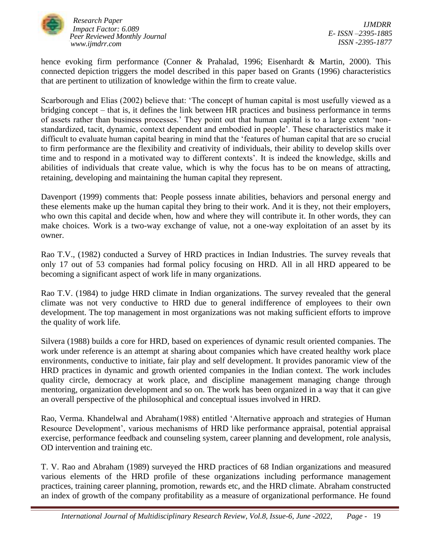

*IJMDRR E- ISSN –2395-1885 ISSN -2395-1877*

hence evoking firm performance (Conner & Prahalad, 1996; Eisenhardt & Martin, 2000). This connected depiction triggers the model described in this paper based on Grants (1996) characteristics that are pertinent to utilization of knowledge within the firm to create value.

Scarborough and Elias (2002) believe that: 'The concept of human capital is most usefully viewed as a bridging concept – that is, it defines the link between HR practices and business performance in terms of assets rather than business processes.' They point out that human capital is to a large extent 'nonstandardized, tacit, dynamic, context dependent and embodied in people'. These characteristics make it difficult to evaluate human capital bearing in mind that the 'features of human capital that are so crucial to firm performance are the flexibility and creativity of individuals, their ability to develop skills over time and to respond in a motivated way to different contexts'. It is indeed the knowledge, skills and abilities of individuals that create value, which is why the focus has to be on means of attracting, retaining, developing and maintaining the human capital they represent.

Davenport (1999) comments that: People possess innate abilities, behaviors and personal energy and these elements make up the human capital they bring to their work. And it is they, not their employers, who own this capital and decide when, how and where they will contribute it. In other words, they can make choices. Work is a two-way exchange of value, not a one-way exploitation of an asset by its owner.

Rao T.V., (1982) conducted a Survey of HRD practices in Indian Industries. The survey reveals that only 17 out of 53 companies had formal policy focusing on HRD. All in all HRD appeared to be becoming a significant aspect of work life in many organizations.

Rao T.V. (1984) to judge HRD climate in Indian organizations. The survey revealed that the general climate was not very conductive to HRD due to general indifference of employees to their own development. The top management in most organizations was not making sufficient efforts to improve the quality of work life.

Silvera (1988) builds a core for HRD, based on experiences of dynamic result oriented companies. The work under reference is an attempt at sharing about companies which have created healthy work place environments, conductive to initiate, fair play and self development. It provides panoramic view of the HRD practices in dynamic and growth oriented companies in the Indian context. The work includes quality circle, democracy at work place, and discipline management managing change through mentoring, organization development and so on. The work has been organized in a way that it can give an overall perspective of the philosophical and conceptual issues involved in HRD.

Rao, Verma. Khandelwal and Abraham(1988) entitled 'Alternative approach and strategies of Human Resource Development', various mechanisms of HRD like performance appraisal, potential appraisal exercise, performance feedback and counseling system, career planning and development, role analysis, OD intervention and training etc.

T. V. Rao and Abraham (1989) surveyed the HRD practices of 68 Indian organizations and measured various elements of the HRD profile of these organizations including performance management practices, training career planning, promotion, rewards etc, and the HRD climate. Abraham constructed an index of growth of the company profitability as a measure of organizational performance. He found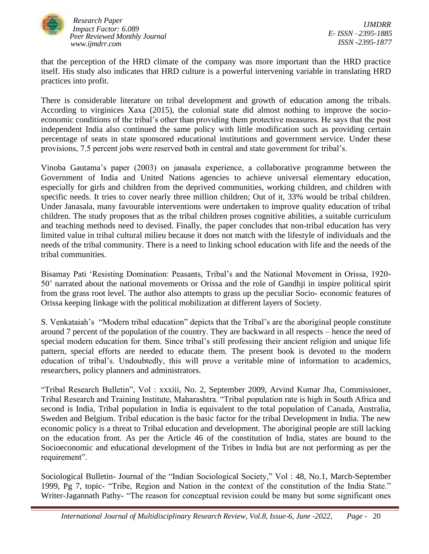

*IJMDRR E- ISSN –2395-1885 ISSN -2395-1877*

that the perception of the HRD climate of the company was more important than the HRD practice itself. His study also indicates that HRD culture is a powerful intervening variable in translating HRD practices into profit.

There is considerable literature on tribal development and growth of education among the tribals. According to virginices Xaxa (2015), the colonial state did almost nothing to improve the socioeconomic conditions of the tribal's other than providing them protective measures. He says that the post independent India also continued the same policy with little modification such as providing certain percentage of seats in state sponsored educational institutions and government service. Under these provisions, 7.5 percent jobs were reserved both in central and state government for tribal's.

Vinoba Gautama's paper (2003) on janasala experience, a collaborative programme between the Government of India and United Nations agencies to achieve universal elementary education, especially for girls and children from the deprived communities, working children, and children with specific needs. It tries to cover nearly three million children; Out of it, 33% would be tribal children. Under Janasala, many favourable interventions were undertaken to improve quality education of tribal children. The study proposes that as the tribal children proses cognitive abilities, a suitable curriculum and teaching methods need to devised. Finally, the paper concludes that non-tribal education has very limited value in tribal cultural milieu because it does not match with the lifestyle of individuals and the needs of the tribal community. There is a need to linking school education with life and the needs of the tribal communities.

Bisamay Pati 'Resisting Domination: Peasants, Tribal's and the National Movement in Orissa, 1920- 50' narrated about the national movements or Orissa and the role of Gandhji in inspire political spirit from the grass root level. The author also attempts to grass up the peculiar Socio- economic features of Orissa keeping linkage with the political mobilization at different layers of Society.

S. Venkataiah's "Modern tribal education" depicts that the Tribal's are the aboriginal people constitute around 7 percent of the population of the country. They are backward in all respects – hence the need of special modern education for them. Since tribal's still professing their ancient religion and unique life pattern, special efforts are needed to educate them. The present book is devoted to the modern education of tribal's. Undoubtedly, this will prove a veritable mine of information to academics, researchers, policy planners and administrators.

"Tribal Research Bulletin", Vol : xxxiii, No. 2, September 2009, Arvind Kumar Jha, Commissioner, Tribal Research and Training Institute, Maharashtra. "Tribal population rate is high in South Africa and second is India, Tribal population in India is equivalent to the total population of Canada, Australia, Sweden and Belgium. Tribal education is the basic factor for the tribal Development in India. The new economic policy is a threat to Tribal education and development. The aboriginal people are still lacking on the education front. As per the Article 46 of the constitution of India, states are bound to the Socioeconomic and educational development of the Tribes in India but are not performing as per the requirement".

Sociological Bulletin- Journal of the "Indian Sociological Society," Vol : 48, No.1, March-September 1999, Pg 7, topic- "Tribe, Region and Nation in the context of the constitution of the India State." Writer-Jagannath Pathy- "The reason for conceptual revision could be many but some significant ones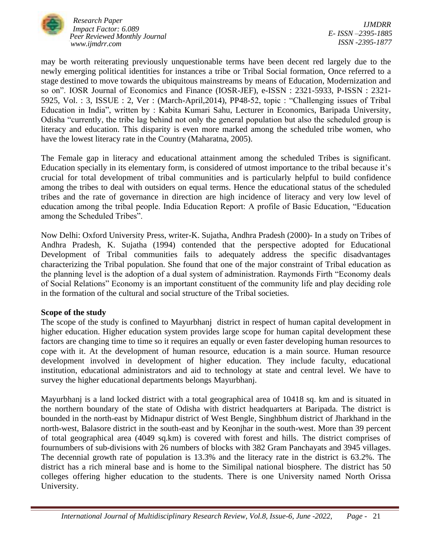

*IJMDRR E- ISSN –2395-1885 ISSN -2395-1877*

may be worth reiterating previously unquestionable terms have been decent red largely due to the newly emerging political identities for instances a tribe or Tribal Social formation, Once referred to a stage destined to move towards the ubiquitous mainstreams by means of Education, Modernization and so on". IOSR Journal of Economics and Finance (IOSR-JEF), e-ISSN : 2321-5933, P-ISSN : 2321- 5925, Vol. : 3, ISSUE : 2, Ver : (March-April,2014), PP48-52, topic : "Challenging issues of Tribal Education in India", written by : Kabita Kumari Sahu, Lecturer in Economics, Baripada University, Odisha "currently, the tribe lag behind not only the general population but also the scheduled group is literacy and education. This disparity is even more marked among the scheduled tribe women, who have the lowest literacy rate in the Country (Maharatna, 2005).

The Female gap in literacy and educational attainment among the scheduled Tribes is significant. Education specially in its elementary form, is considered of utmost importance to the tribal because it's crucial for total development of tribal communities and is particularly helpful to build confidence among the tribes to deal with outsiders on equal terms. Hence the educational status of the scheduled tribes and the rate of governance in direction are high incidence of literacy and very low level of education among the tribal people. India Education Report: A profile of Basic Education, "Education among the Scheduled Tribes".

Now Delhi: Oxford University Press, writer-K. Sujatha, Andhra Pradesh (2000)- In a study on Tribes of Andhra Pradesh, K. Sujatha (1994) contended that the perspective adopted for Educational Development of Tribal communities fails to adequately address the specific disadvantages characterizing the Tribal population. She found that one of the major constraint of Tribal education as the planning level is the adoption of a dual system of administration. Raymonds Firth "Economy deals of Social Relations" Economy is an important constituent of the community life and play deciding role in the formation of the cultural and social structure of the Tribal societies.

### **Scope of the study**

The scope of the study is confined to Mayurbhanj district in respect of human capital development in higher education. Higher education system provides large scope for human capital development these factors are changing time to time so it requires an equally or even faster developing human resources to cope with it. At the development of human resource, education is a main source. Human resource development involved in development of higher education. They include faculty, educational institution, educational administrators and aid to technology at state and central level. We have to survey the higher educational departments belongs Mayurbhanj.

Mayurbhanj is a land locked district with a total geographical area of 10418 sq. km and is situated in the northern boundary of the state of Odisha with district headquarters at Baripada. The district is bounded in the north-east by Midnapur district of West Bengle, Singhbhum district of Jharkhand in the north-west, Balasore district in the south-east and by Keonjhar in the south-west. More than 39 percent of total geographical area (4049 sq.km) is covered with forest and hills. The district comprises of fournumbers of sub-divisions with 26 numbers of blocks with 382 Gram Panchayats and 3945 villages. The decennial growth rate of population is 13.3% and the literacy rate in the district is 63.2%. The district has a rich mineral base and is home to the Similipal national biosphere. The district has 50 colleges offering higher education to the students. There is one University named North Orissa University.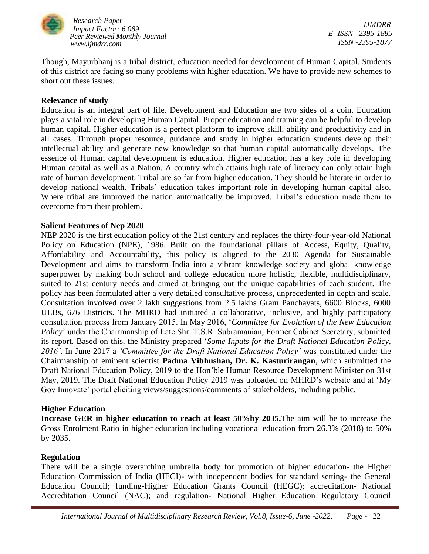

*IJMDRR E- ISSN –2395-1885 ISSN -2395-1877*

Though, Mayurbhanj is a tribal district, education needed for development of Human Capital. Students of this district are facing so many problems with higher education. We have to provide new schemes to short out these issues.

### **Relevance of study**

Education is an integral part of life. Development and Education are two sides of a coin. Education plays a vital role in developing Human Capital. Proper education and training can be helpful to develop human capital. Higher education is a perfect platform to improve skill, ability and productivity and in all cases. Through proper resource, guidance and study in higher education students develop their intellectual ability and generate new knowledge so that human capital automatically develops. The essence of Human capital development is education. Higher education has a key role in developing Human capital as well as a Nation. A country which attains high rate of literacy can only attain high rate of human development. Tribal are so far from higher education. They should be literate in order to develop national wealth. Tribals' education takes important role in developing human capital also. Where tribal are improved the nation automatically be improved. Tribal's education made them to overcome from their problem.

### **Salient Features of Nep 2020**

NEP 2020 is the first education policy of the 21st century and replaces the thirty-four-year-old National Policy on Education (NPE), 1986. Built on the foundational pillars of Access, Equity, Quality, Affordability and Accountability, this policy is aligned to the 2030 Agenda for Sustainable Development and aims to transform India into a vibrant knowledge society and global knowledge superpower by making both school and college education more holistic, flexible, multidisciplinary, suited to 21st century needs and aimed at bringing out the unique capabilities of each student. The policy has been formulated after a very detailed consultative process, unprecedented in depth and scale. Consultation involved over 2 lakh suggestions from 2.5 lakhs Gram Panchayats, 6600 Blocks, 6000 ULBs, 676 Districts. The MHRD had initiated a collaborative, inclusive, and highly participatory consultation process from January 2015. In May 2016, '*Committee for Evolution of the New Education Policy*' under the Chairmanship of Late Shri T.S.R. Subramanian, Former Cabinet Secretary, submitted its report. Based on this, the Ministry prepared '*Some Inputs for the Draft National Education Policy, 2016'*. In June 2017 a *'Committee for the Draft National Education Policy'* was constituted under the Chairmanship of eminent scientist **Padma Vibhushan, Dr. K. Kasturirangan**, which submitted the Draft National Education Policy, 2019 to the Hon'ble Human Resource Development Minister on 31st May, 2019. The Draft National Education Policy 2019 was uploaded on MHRD's website and at 'My Gov Innovate' portal eliciting views/suggestions/comments of stakeholders, including public.

### **Higher Education**

**Increase GER in higher education to reach at least 50%by 2035.**The aim will be to increase the Gross Enrolment Ratio in higher education including vocational education from 26.3% (2018) to 50% by 2035.

### **Regulation**

There will be a single overarching umbrella body for promotion of higher education- the Higher Education Commission of India (HECI)- with independent bodies for standard setting- the General Education Council; funding-Higher Education Grants Council (HEGC); accreditation- National Accreditation Council (NAC); and regulation- National Higher Education Regulatory Council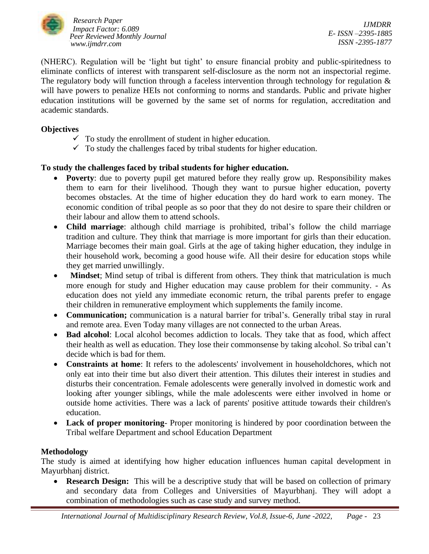

(NHERC). Regulation will be 'light but tight' to ensure financial probity and public-spiritedness to eliminate conflicts of interest with transparent self-disclosure as the norm not an inspectorial regime. The regulatory body will function through a faceless intervention through technology for regulation  $\&$ will have powers to penalize HEIs not conforming to norms and standards. Public and private higher education institutions will be governed by the same set of norms for regulation, accreditation and academic standards.

## **Objectives**

- $\checkmark$  To study the enrollment of student in higher education.
- $\checkmark$  To study the challenges faced by tribal students for higher education.

# **To study the challenges faced by tribal students for higher education.**

- **Poverty**: due to poverty pupil get matured before they really grow up. Responsibility makes them to earn for their livelihood. Though they want to pursue higher education, poverty becomes obstacles. At the time of higher education they do hard work to earn money. The economic condition of tribal people as so poor that they do not desire to spare their children or their labour and allow them to attend schools.
- **Child marriage**: although child marriage is prohibited, tribal's follow the child marriage tradition and culture. They think that marriage is more important for girls than their education. Marriage becomes their main goal. Girls at the age of taking higher education, they indulge in their household work, becoming a good house wife. All their desire for education stops while they get married unwillingly.
- **Mindset**; Mind setup of tribal is different from others. They think that matriculation is much more enough for study and Higher education may cause problem for their community. - As education does not yield any immediate economic return, the tribal parents prefer to engage their children in remunerative employment which supplements the family income.
- **Communication;** communication is a natural barrier for tribal's. Generally tribal stay in rural and remote area. Even Today many villages are not connected to the urban Areas.
- **Bad alcohol**: Local alcohol becomes addiction to locals. They take that as food, which affect their health as well as education. They lose their commonsense by taking alcohol. So tribal can't decide which is bad for them.
- **Constraints at home**: It refers to the adolescents' involvement in householdchores, which not only eat into their time but also divert their attention. This dilutes their interest in studies and disturbs their concentration. Female adolescents were generally involved in domestic work and looking after younger siblings, while the male adolescents were either involved in home or outside home activities. There was a lack of parents' positive attitude towards their children's education.
- **Lack of proper monitoring** Proper monitoring is hindered by poor coordination between the Tribal welfare Department and school Education Department

## **Methodology**

The study is aimed at identifying how higher education influences human capital development in Mayurbhanj district.

• **Research Design:** This will be a descriptive study that will be based on collection of primary and secondary data from Colleges and Universities of Mayurbhanj. They will adopt a combination of methodologies such as case study and survey method.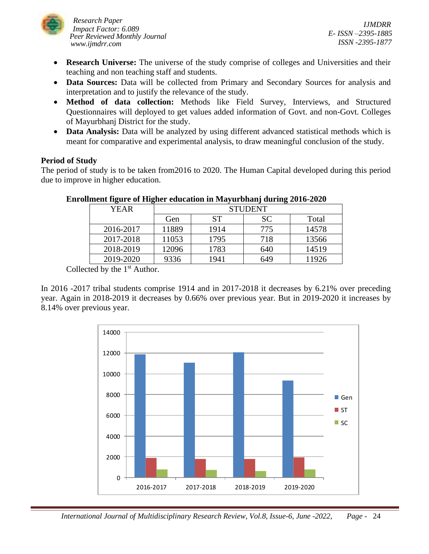

*IJMDRR E- ISSN –2395-1885 ISSN -2395-1877*

- **Research Universe:** The universe of the study comprise of colleges and Universities and their teaching and non teaching staff and students.
- **Data Sources:** Data will be collected from Primary and Secondary Sources for analysis and interpretation and to justify the relevance of the study.
- **Method of data collection:** Methods like Field Survey, Interviews, and Structured Questionnaires will deployed to get values added information of Govt. and non-Govt. Colleges of Mayurbhanj District for the study.
- **Data Analysis:** Data will be analyzed by using different advanced statistical methods which is meant for comparative and experimental analysis, to draw meaningful conclusion of the study.

## **Period of Study**

The period of study is to be taken from2016 to 2020. The Human Capital developed during this period due to improve in higher education.

| - -       |                |      |           |       |
|-----------|----------------|------|-----------|-------|
| YEAR      | <b>STUDENT</b> |      |           |       |
|           | Gen            | SТ   | <b>SC</b> | Total |
| 2016-2017 | 11889          | 1914 | 775       | 14578 |
| 2017-2018 | 11053          | 1795 | 718       | 13566 |
| 2018-2019 | 12096          | 1783 | 640       | 14519 |
| 2019-2020 | 9336           | 1941 | 649       | 11926 |

## **Enrollment figure of Higher education in Mayurbhanj during 2016-2020**

Collected by the  $1<sup>st</sup>$  Author.

In 2016 -2017 tribal students comprise 1914 and in 2017-2018 it decreases by 6.21% over preceding year. Again in 2018-2019 it decreases by 0.66% over previous year. But in 2019-2020 it increases by 8.14% over previous year.

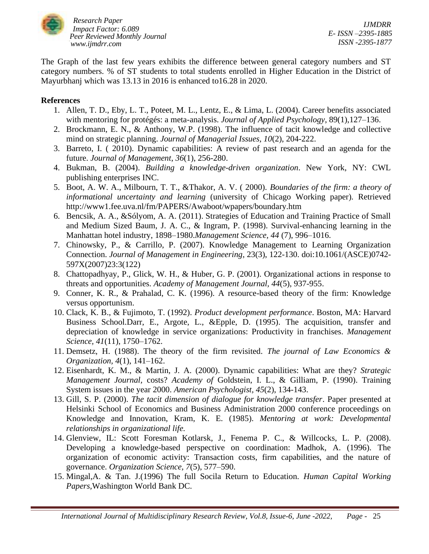

The Graph of the last few years exhibits the difference between general category numbers and ST category numbers. % of ST students to total students enrolled in Higher Education in the District of Mayurbhanj which was 13.13 in 2016 is enhanced to16.28 in 2020.

### **References**

- 1. Allen, T. D., Eby, L. T., Poteet, M. L., Lentz, E., & Lima, L. (2004). Career benefits associated with mentoring for protégés: a meta-analysis. *Journal of Applied Psychology*, 89(1),127–136.
- 2. Brockmann, E. N., & Anthony, W.P. (1998). The influence of tacit knowledge and collective mind on strategic planning. *Journal of Managerial Issues, 10*(2), 204-222.
- 3. Barreto, I. ( 2010). Dynamic capabilities: A review of past research and an agenda for the future. *Journal of Management*, *36*(1), 256-280.
- 4. Bukman, B. (2004). *Building a knowledge-driven organization*. New York, NY: CWL publishing enterprises INC.
- 5. Boot, A. W. A., Milbourn, T. T., &Thakor, A. V. ( 2000). *Boundaries of the firm: a theory of informational uncertainty and learning* (university of Chicago Working paper). Retrieved http://www1.fee.uva.nl/fm/PAPERS/Awaboot/wpapers/boundary.htm
- 6. Bencsik, A. A., &Sólyom, A. A. (2011). Strategies of Education and Training Practice of Small and Medium Sized Baum, J. A. C., & Ingram, P. (1998). Survival-enhancing learning in the Manhattan hotel industry, 1898–1980.*Management Science, 44* (7), 996–1016.
- 7. Chinowsky, P., & Carrillo, P. (2007). Knowledge Management to Learning Organization Connection. *Journal of Management in Engineering*, 23(3), 122-130. doi:10.1061/(ASCE)0742- 597X(2007)23:3(122)
- 8. Chattopadhyay, P., Glick, W. H., & Huber, G. P. (2001). Organizational actions in response to threats and opportunities. *Academy of Management Journal, 44*(5), 937-955.
- 9. Conner, K. R., & Prahalad, C. K. (1996). A resource-based theory of the firm: Knowledge versus opportunism.
- 10. Clack, K. B., & Fujimoto, T. (1992). *Product development performance*. Boston, MA: Harvard Business School.Darr, E., Argote, L., &Epple, D. (1995). The acquisition, transfer and depreciation of knowledge in service organizations: Productivity in franchises. *Management Science, 41*(11), 1750–1762.
- 11. Demsetz, H. (1988). The theory of the firm revisited. *The journal of Law Economics & Organization, 4*(1), 141–162.
- 12. Eisenhardt, K. M., & Martin, J. A. (2000). Dynamic capabilities: What are they? *Strategic Management Journal,* costs? *Academy of* Goldstein, I. L., & Gilliam, P. (1990). Training System issues in the year 2000. *American Psychologist, 45*(2), 134-143.
- 13. Gill, S. P. (2000). *The tacit dimension of dialogue for knowledge transfer*. Paper presented at Helsinki School of Economics and Business Administration 2000 conference proceedings on Knowledge and Innovation, Kram, K. E. (1985). *Mentoring at work: Developmental relationships in organizational life.*
- 14. Glenview, IL: Scott Foresman Kotlarsk, J., Fenema P. C., & Willcocks, L. P. (2008). Developing a knowledge-based perspective on coordination: Madhok, A. (1996). The organization of economic activity: Transaction costs, firm capabilities, and the nature of governance. *Organization Science, 7*(5), 577–590.
- 15. Mingal,A. & Tan. J.(1996) The full Socila Return to Education. *Human Capital Working Papers,*Washington World Bank DC.